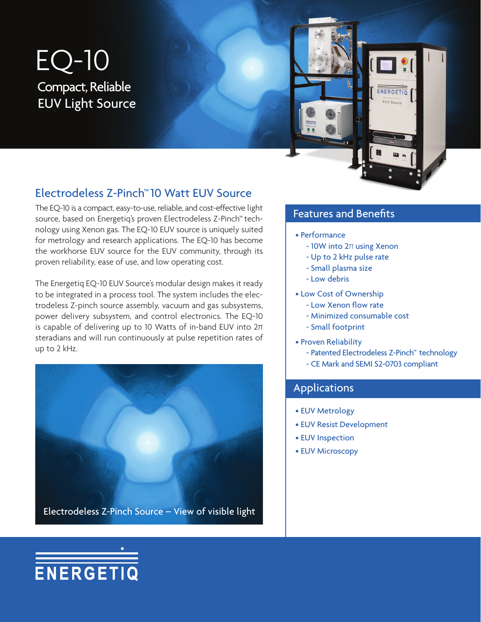# EQ-10 Compact, Reliable EUV Light Source



## Electrodeless Z-Pinch™ 10 Watt EUV Source

The EQ-10 is a compact, easy-to-use, reliable, and cost-effective light source, based on Energetiq's proven Electrodeless Z-Pinch™ technology using Xenon gas. The EQ-10 EUV source is uniquely suited for metrology and research applications. The EQ-10 has become the workhorse EUV source for the EUV community, through its proven reliability, ease of use, and low operating cost.

The Energetiq EQ-10 EUV Source's modular design makes it ready to be integrated in a process tool. The system includes the electrodeless Z-pinch source assembly, vacuum and gas subsystems, power delivery subsystem, and control electronics. The EQ-10 is capable of delivering up to 10 Watts of in-band EUV into 2π steradians and will run continuously at pulse repetition rates of up to 2 kHz.



ENERGETIQ

### Features and Benefits

- Performance
	- 10W into 2π using Xenon
	- Up to 2 kHz pulse rate
	- Small plasma size
	- Low debris
- Low Cost of Ownership
	- Low Xenon flow rate
	- Minimized consumable cost
	- Small footprint
- Proven Reliability
	- Patented Electrodeless Z-Pinch™ technology
	- CE Mark and SEMI S2-0703 compliant

#### Applications

- EUV Metrology
- EUV Resist Development
- EUV Inspection
- EUV Microscopy